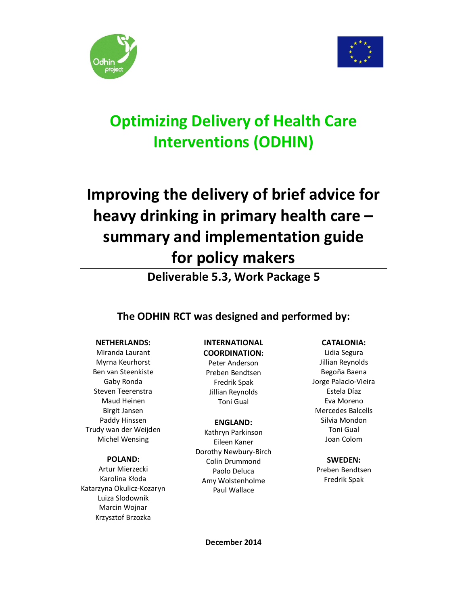



# **Optimizing Delivery of Health Care Interventions (ODHIN)**

# **Improving the delivery of brief advice for heavy drinking in primary health care – summary and implementation guide for policy makers**

**Deliverable 5.3, Work Package 5** 

# **The ODHIN RCT was designed and performed by:**

#### **NETHERLANDS:**

Miranda Laurant Myrna Keurhorst Ben van Steenkiste Gaby Ronda Steven Teerenstra Maud Heinen Birgit Jansen Paddy Hinssen Trudy wan der Weijden Michel Wensing

#### **POLAND:**

Artur Mierzecki Karolina Kłoda Katarzyna Okulicz-Kozaryn Luiza Slodownik Marcin Wojnar Krzysztof Brzozka

#### **INTERNATIONAL COORDINATION:**

Peter Anderson Preben Bendtsen Fredrik Spak Jillian Reynolds Toni Gual

#### **ENGLAND:**

Kathryn Parkinson Eileen Kaner Dorothy Newbury-Birch Colin Drummond Paolo Deluca Amy Wolstenholme Paul Wallace

#### **CATALONIA:**

Lidia Segura Jillian Reynolds Begoña Baena Jorge Palacio-Vieira Estela Díaz Eva Moreno Mercedes Balcells Silvia Mondon Toni Gual Joan Colom

#### **SWEDEN:**

Preben Bendtsen Fredrik Spak

**December 2014**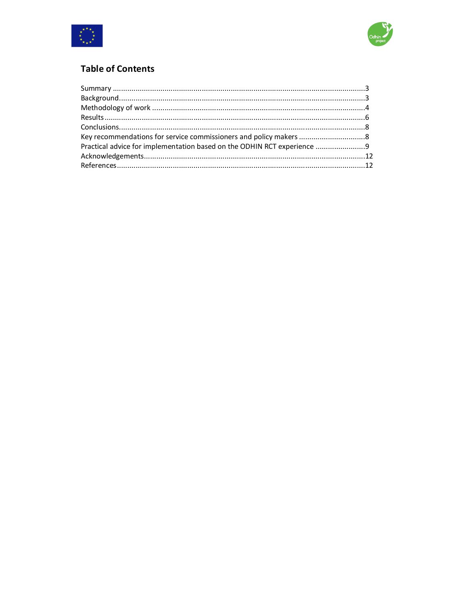



# **Table of Contents**

| Practical advice for implementation based on the ODHIN RCT experience 9 |  |
|-------------------------------------------------------------------------|--|
|                                                                         |  |
|                                                                         |  |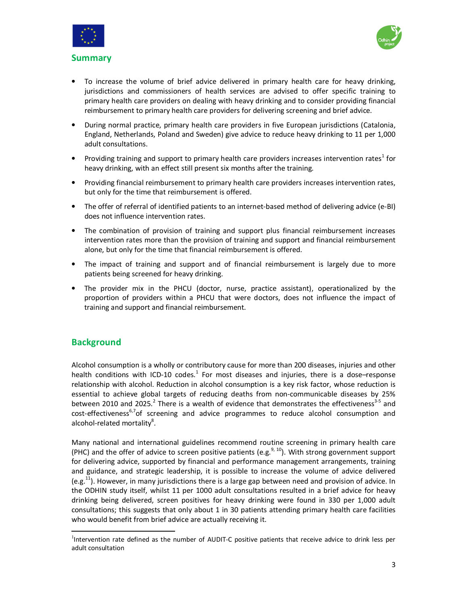



## **Summary**

- To increase the volume of brief advice delivered in primary health care for heavy drinking, jurisdictions and commissioners of health services are advised to offer specific training to primary health care providers on dealing with heavy drinking and to consider providing financial reimbursement to primary health care providers for delivering screening and brief advice.
- During normal practice, primary health care providers in five European jurisdictions (Catalonia, England, Netherlands, Poland and Sweden) give advice to reduce heavy drinking to 11 per 1,000 adult consultations.
- Providing training and support to primary health care providers increases intervention rates<sup>1</sup> for heavy drinking, with an effect still present six months after the training.
- Providing financial reimbursement to primary health care providers increases intervention rates, but only for the time that reimbursement is offered.
- The offer of referral of identified patients to an internet-based method of delivering advice (e-BI) does not influence intervention rates.
- The combination of provision of training and support plus financial reimbursement increases intervention rates more than the provision of training and support and financial reimbursement alone, but only for the time that financial reimbursement is offered.
- The impact of training and support and of financial reimbursement is largely due to more patients being screened for heavy drinking.
- The provider mix in the PHCU (doctor, nurse, practice assistant), operationalized by the proportion of providers within a PHCU that were doctors, does not influence the impact of training and support and financial reimbursement.

## **Background**

1

Alcohol consumption is a wholly or contributory cause for more than 200 diseases, injuries and other health conditions with ICD-10 codes.<sup>1</sup> For most diseases and injuries, there is a dose–response relationship with alcohol. Reduction in alcohol consumption is a key risk factor, whose reduction is essential to achieve global targets of reducing deaths from non-communicable diseases by 25% between 2010 and 2025.<sup>2</sup> There is a wealth of evidence that demonstrates the effectiveness<sup>3-5</sup> and cost-effectiveness<sup>6,7</sup>of screening and advice programmes to reduce alcohol consumption and alcohol-related mortality $8$ .

Many national and international guidelines recommend routine screening in primary health care (PHC) and the offer of advice to screen positive patients (e.g.  $9, 10$ ). With strong government support for delivering advice, supported by financial and performance management arrangements, training and guidance, and strategic leadership, it is possible to increase the volume of advice delivered (e.g.<sup>11</sup>). However, in many jurisdictions there is a large gap between need and provision of advice. In the ODHIN study itself, whilst 11 per 1000 adult consultations resulted in a brief advice for heavy drinking being delivered, screen positives for heavy drinking were found in 330 per 1,000 adult consultations; this suggests that only about 1 in 30 patients attending primary health care facilities who would benefit from brief advice are actually receiving it.

<sup>&</sup>lt;sup>1</sup>Intervention rate defined as the number of AUDIT-C positive patients that receive advice to drink less per adult consultation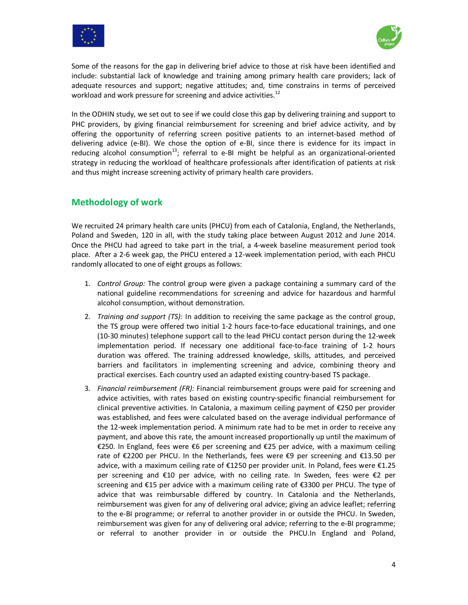



Some of the reasons for the gap in delivering brief advice to those at risk have been identified and include: substantial lack of knowledge and training among primary health care providers; lack of adequate resources and support; negative attitudes; and, time constrains in terms of perceived workload and work pressure for screening and advice activities.<sup>12</sup>

In the ODHIN study, we set out to see if we could close this gap by delivering training and support to PHC providers, by giving financial reimbursement for screening and brief advice activity, and by offering the opportunity of referring screen positive patients to an internet-based method of delivering advice (e-BI). We chose the option of e-BI, since there is evidence for its impact in reducing alcohol consumption<sup>13</sup>; referral to e-BI might be helpful as an organizational-oriented strategy in reducing the workload of healthcare professionals after identification of patients at risk and thus might increase screening activity of primary health care providers.

## **Methodology of work**

We recruited 24 primary health care units (PHCU) from each of Catalonia, England, the Netherlands, Poland and Sweden, 120 in all, with the study taking place between August 2012 and June 2014. Once the PHCU had agreed to take part in the trial, a 4-week baseline measurement period took place. After a 2-6 week gap, the PHCU entered a 12-week implementation period, with each PHCU randomly allocated to one of eight groups as follows:

- 1. *Control Group:* The control group were given a package containing a summary card of the national guideline recommendations for screening and advice for hazardous and harmful alcohol consumption, without demonstration.
- 2. *Training and support (TS):* In addition to receiving the same package as the control group, the TS group were offered two initial 1-2 hours face-to-face educational trainings, and one (10-30 minutes) telephone support call to the lead PHCU contact person during the 12-week implementation period. If necessary one additional face-to-face training of 1-2 hours duration was offered. The training addressed knowledge, skills, attitudes, and perceived barriers and facilitators in implementing screening and advice, combining theory and practical exercises. Each country used an adapted existing country-based TS package.
- 3. *Financial reimbursement (FR):* Financial reimbursement groups were paid for screening and advice activities, with rates based on existing country-specific financial reimbursement for clinical preventive activities. In Catalonia, a maximum ceiling payment of €250 per provider was established, and fees were calculated based on the average individual performance of the 12-week implementation period. A minimum rate had to be met in order to receive any payment, and above this rate, the amount increased proportionally up until the maximum of €250. In England, fees were €6 per screening and €25 per advice, with a maximum ceiling rate of €2200 per PHCU. In the Netherlands, fees were €9 per screening and €13.50 per advice, with a maximum ceiling rate of €1250 per provider unit. In Poland, fees were €1.25 per screening and €10 per advice, with no ceiling rate. In Sweden, fees were €2 per screening and €15 per advice with a maximum ceiling rate of €3300 per PHCU. The type of advice that was reimbursable differed by country. In Catalonia and the Netherlands, reimbursement was given for any of delivering oral advice; giving an advice leaflet; referring to the e-BI programme; or referral to another provider in or outside the PHCU. In Sweden, reimbursement was given for any of delivering oral advice; referring to the e-BI programme; or referral to another provider in or outside the PHCU.In England and Poland,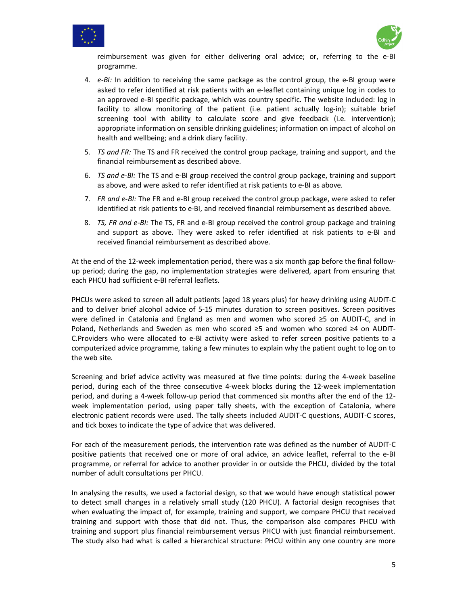



reimbursement was given for either delivering oral advice; or, referring to the e-BI programme.

- 4. *e-BI:* In addition to receiving the same package as the control group, the e-BI group were asked to refer identified at risk patients with an e-leaflet containing unique log in codes to an approved e-BI specific package, which was country specific. The website included: log in facility to allow monitoring of the patient (i.e. patient actually log-in); suitable brief screening tool with ability to calculate score and give feedback (i.e. intervention); appropriate information on sensible drinking guidelines; information on impact of alcohol on health and wellbeing; and a drink diary facility.
- 5. *TS and FR:* The TS and FR received the control group package, training and support, and the financial reimbursement as described above.
- 6. *TS and e-BI:* The TS and e-BI group received the control group package, training and support as above, and were asked to refer identified at risk patients to e-BI as above.
- 7. *FR and e-BI:* The FR and e-BI group received the control group package, were asked to refer identified at risk patients to e-BI, and received financial reimbursement as described above.
- 8. *TS, FR and e-BI:* The TS, FR and e-BI group received the control group package and training and support as above. They were asked to refer identified at risk patients to e-BI and received financial reimbursement as described above.

At the end of the 12-week implementation period, there was a six month gap before the final followup period; during the gap, no implementation strategies were delivered, apart from ensuring that each PHCU had sufficient e-BI referral leaflets.

PHCUs were asked to screen all adult patients (aged 18 years plus) for heavy drinking using AUDIT-C and to deliver brief alcohol advice of 5-15 minutes duration to screen positives. Screen positives were defined in Catalonia and England as men and women who scored ≥5 on AUDIT-C, and in Poland, Netherlands and Sweden as men who scored ≥5 and women who scored ≥4 on AUDIT-C.Providers who were allocated to e-BI activity were asked to refer screen positive patients to a computerized advice programme, taking a few minutes to explain why the patient ought to log on to the web site.

Screening and brief advice activity was measured at five time points: during the 4-week baseline period, during each of the three consecutive 4-week blocks during the 12-week implementation period, and during a 4-week follow-up period that commenced six months after the end of the 12 week implementation period, using paper tally sheets, with the exception of Catalonia, where electronic patient records were used. The tally sheets included AUDIT-C questions, AUDIT-C scores, and tick boxes to indicate the type of advice that was delivered.

For each of the measurement periods, the intervention rate was defined as the number of AUDIT-C positive patients that received one or more of oral advice, an advice leaflet, referral to the e-BI programme, or referral for advice to another provider in or outside the PHCU, divided by the total number of adult consultations per PHCU.

In analysing the results, we used a factorial design, so that we would have enough statistical power to detect small changes in a relatively small study (120 PHCU). A factorial design recognises that when evaluating the impact of, for example, training and support, we compare PHCU that received training and support with those that did not. Thus, the comparison also compares PHCU with training and support plus financial reimbursement versus PHCU with just financial reimbursement. The study also had what is called a hierarchical structure: PHCU within any one country are more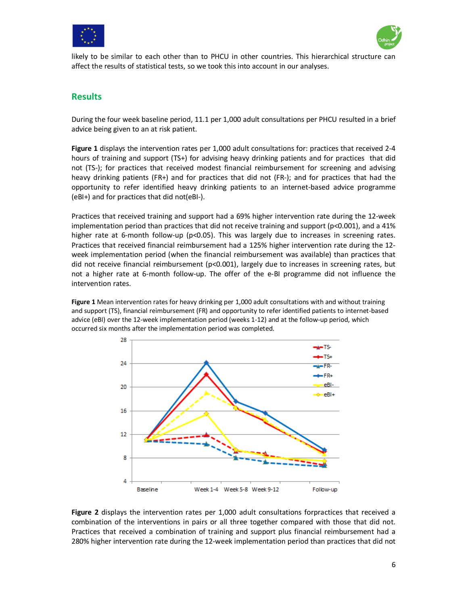



likely to be similar to each other than to PHCU in other countries. This hierarchical structure can affect the results of statistical tests, so we took this into account in our analyses.

## **Results**

During the four week baseline period, 11.1 per 1,000 adult consultations per PHCU resulted in a brief advice being given to an at risk patient.

**Figure 1** displays the intervention rates per 1,000 adult consultations for: practices that received 2-4 hours of training and support (TS+) for advising heavy drinking patients and for practices that did not (TS-); for practices that received modest financial reimbursement for screening and advising heavy drinking patients (FR+) and for practices that did not (FR-); and for practices that had the opportunity to refer identified heavy drinking patients to an internet-based advice programme (eBI+) and for practices that did not(eBI-).

Practices that received training and support had a 69% higher intervention rate during the 12-week implementation period than practices that did not receive training and support (p<0.001), and a 41% higher rate at 6-month follow-up (p<0.05). This was largely due to increases in screening rates. Practices that received financial reimbursement had a 125% higher intervention rate during the 12 week implementation period (when the financial reimbursement was available) than practices that did not receive financial reimbursement ( $p<0.001$ ), largely due to increases in screening rates, but not a higher rate at 6-month follow-up. The offer of the e-BI programme did not influence the intervention rates.

**Figure 1** Mean intervention rates for heavy drinking per 1,000 adult consultations with and without training and support (TS), financial reimbursement (FR) and opportunity to refer identified patients to internet-based advice (eBI) over the 12-week implementation period (weeks 1-12) and at the follow-up period, which occurred six months after the implementation period was completed.



**Figure 2** displays the intervention rates per 1,000 adult consultations forpractices that received a combination of the interventions in pairs or all three together compared with those that did not. Practices that received a combination of training and support plus financial reimbursement had a 280% higher intervention rate during the 12-week implementation period than practices that did not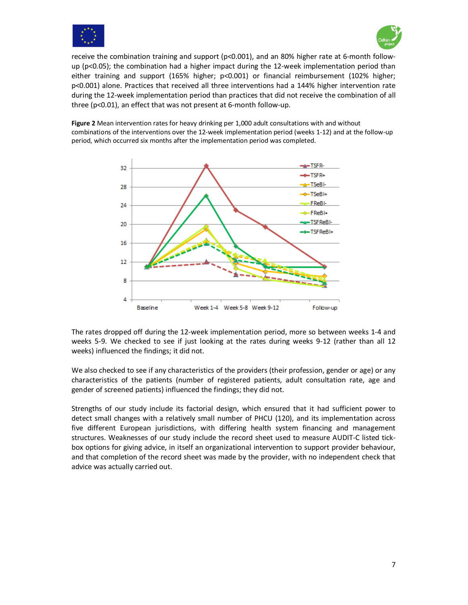



receive the combination training and support (p<0.001), and an 80% higher rate at 6-month followup (p<0.05); the combination had a higher impact during the 12-week implementation period than either training and support (165% higher; p<0.001) or financial reimbursement (102% higher; p<0.001) alone. Practices that received all three interventions had a 144% higher intervention rate during the 12-week implementation period than practices that did not receive the combination of all three (p<0.01), an effect that was not present at 6-month follow-up.

**Figure 2** Mean intervention rates for heavy drinking per 1,000 adult consultations with and without combinations of the interventions over the 12-week implementation period (weeks 1-12) and at the follow-up period, which occurred six months after the implementation period was completed.



The rates dropped off during the 12-week implementation period, more so between weeks 1-4 and weeks 5-9. We checked to see if just looking at the rates during weeks 9-12 (rather than all 12 weeks) influenced the findings; it did not.

We also checked to see if any characteristics of the providers (their profession, gender or age) or any characteristics of the patients (number of registered patients, adult consultation rate, age and gender of screened patients) influenced the findings; they did not.

Strengths of our study include its factorial design, which ensured that it had sufficient power to detect small changes with a relatively small number of PHCU (120), and its implementation across five different European jurisdictions, with differing health system financing and management structures. Weaknesses of our study include the record sheet used to measure AUDIT-C listed tickbox options for giving advice, in itself an organizational intervention to support provider behaviour, and that completion of the record sheet was made by the provider, with no independent check that advice was actually carried out.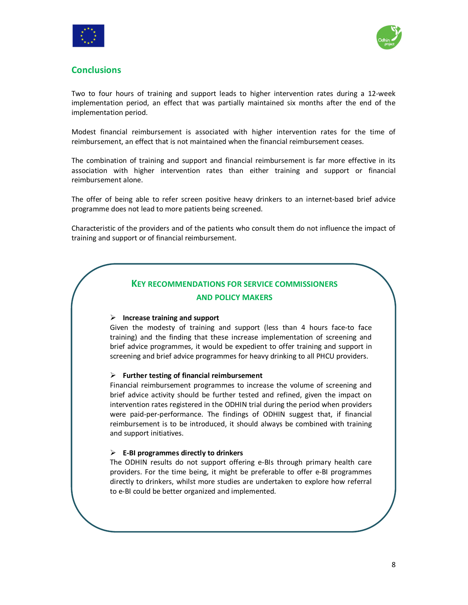



## **Conclusions**

Two to four hours of training and support leads to higher intervention rates during a 12-week implementation period, an effect that was partially maintained six months after the end of the implementation period.

Modest financial reimbursement is associated with higher intervention rates for the time of reimbursement, an effect that is not maintained when the financial reimbursement ceases.

The combination of training and support and financial reimbursement is far more effective in its association with higher intervention rates than either training and support or financial reimbursement alone.

The offer of being able to refer screen positive heavy drinkers to an internet-based brief advice programme does not lead to more patients being screened.

Characteristic of the providers and of the patients who consult them do not influence the impact of training and support or of financial reimbursement.

## **KEY RECOMMENDATIONS FOR SERVICE COMMISSIONERS AND POLICY MAKERS**

#### **Increase training and support**

Given the modesty of training and support (less than 4 hours face-to face training) and the finding that these increase implementation of screening and brief advice programmes, it would be expedient to offer training and support in screening and brief advice programmes for heavy drinking to all PHCU providers.

#### **Further testing of financial reimbursement**

Financial reimbursement programmes to increase the volume of screening and brief advice activity should be further tested and refined, given the impact on intervention rates registered in the ODHIN trial during the period when providers were paid-per-performance. The findings of ODHIN suggest that, if financial reimbursement is to be introduced, it should always be combined with training and support initiatives.

#### **E-BI programmes directly to drinkers**

The ODHIN results do not support offering e-BIs through primary health care providers. For the time being, it might be preferable to offer e-BI programmes directly to drinkers, whilst more studies are undertaken to explore how referral to e-BI could be better organized and implemented.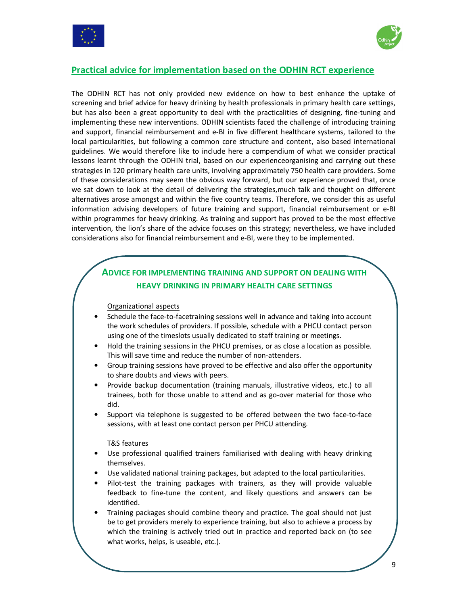



## **Practical advice for implementation based on the ODHIN RCT experience**

The ODHIN RCT has not only provided new evidence on how to best enhance the uptake of screening and brief advice for heavy drinking by health professionals in primary health care settings, but has also been a great opportunity to deal with the practicalities of designing, fine-tuning and implementing these new interventions. ODHIN scientists faced the challenge of introducing training and support, financial reimbursement and e-BI in five different healthcare systems, tailored to the local particularities, but following a common core structure and content, also based international guidelines. We would therefore like to include here a compendium of what we consider practical lessons learnt through the ODHIN trial, based on our experienceorganising and carrying out these strategies in 120 primary health care units, involving approximately 750 health care providers. Some of these considerations may seem the obvious way forward, but our experience proved that, once we sat down to look at the detail of delivering the strategies,much talk and thought on different alternatives arose amongst and within the five country teams. Therefore, we consider this as useful information advising developers of future training and support, financial reimbursement or e-BI within programmes for heavy drinking. As training and support has proved to be the most effective intervention, the lion's share of the advice focuses on this strategy; nevertheless, we have included considerations also for financial reimbursement and e-BI, were they to be implemented.

## **ADVICE FOR IMPLEMENTING TRAINING AND SUPPORT ON DEALING WITH HEAVY DRINKING IN PRIMARY HEALTH CARE SETTINGS**

Organizational aspects

- Schedule the face-to-facetraining sessions well in advance and taking into account the work schedules of providers. If possible, schedule with a PHCU contact person using one of the timeslots usually dedicated to staff training or meetings.
- Hold the training sessions in the PHCU premises, or as close a location as possible. This will save time and reduce the number of non-attenders.
- Group training sessions have proved to be effective and also offer the opportunity to share doubts and views with peers.
- Provide backup documentation (training manuals, illustrative videos, etc.) to all trainees, both for those unable to attend and as go-over material for those who did.
- Support via telephone is suggested to be offered between the two face-to-face sessions, with at least one contact person per PHCU attending.

#### T&S features

- Use professional qualified trainers familiarised with dealing with heavy drinking themselves.
- Use validated national training packages, but adapted to the local particularities.
- Pilot-test the training packages with trainers, as they will provide valuable feedback to fine-tune the content, and likely questions and answers can be identified.
- Training packages should combine theory and practice. The goal should not just be to get providers merely to experience training, but also to achieve a process by which the training is actively tried out in practice and reported back on (to see what works, helps, is useable, etc.).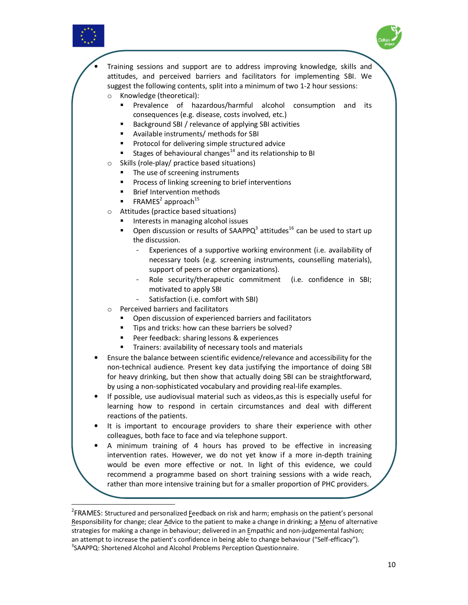

1

• Training sessions and support are to address improving knowledge, skills and attitudes, and perceived barriers and facilitators for implementing SBI. We suggest the following contents, split into a minimum of two 1-2 hour sessions:

- o Knowledge (theoretical):
	- - Prevalence of hazardous/harmful alcohol consumption and its consequences (e.g. disease, costs involved, etc.)
	- -Background SBI / relevance of applying SBI activities
	- -Available instruments/ methods for SBI
	- -Protocol for delivering simple structured advice
	- -Stages of behavioural changes<sup>14</sup> and its relationship to BI
- o Skills (role-play/ practice based situations)
	- **The use of screening instruments**
	- -Process of linking screening to brief interventions
	- -Brief Intervention methods
	- - $FRAMES<sup>2</sup>$  approach<sup>15</sup>
- o Attitudes (practice based situations)
	- -Interests in managing alcohol issues
	- **•** Open discussion or results of SAAPPQ<sup>3</sup> attitudes<sup>16</sup> can be used to start up the discussion.
		- Experiences of a supportive working environment (i.e. availability of necessary tools (e.g. screening instruments, counselling materials), support of peers or other organizations).
		- Role security/therapeutic commitment (i.e. confidence in SBI; motivated to apply SBI
		- Satisfaction (i.e. comfort with SBI)
- o Perceived barriers and facilitators
	- -Open discussion of experienced barriers and facilitators
	- **Tips and tricks: how can these barriers be solved?**
	- -Peer feedback: sharing lessons & experiences
	- Trainers: availability of necessary tools and materials
- Ensure the balance between scientific evidence/relevance and accessibility for the non-technical audience. Present key data justifying the importance of doing SBI for heavy drinking, but then show that actually doing SBI can be straightforward, by using a non-sophisticated vocabulary and providing real-life examples.
- If possible, use audiovisual material such as videos,as this is especially useful for learning how to respond in certain circumstances and deal with different reactions of the patients.
- It is important to encourage providers to share their experience with other colleagues, both face to face and via telephone support.
- A minimum training of 4 hours has proved to be effective in increasing intervention rates. However, we do not yet know if a more in-depth training would be even more effective or not. In light of this evidence, we could recommend a programme based on short training sessions with a wide reach, rather than more intensive training but for a smaller proportion of PHC providers.

<sup>2</sup> FRAMES: Structured and personalized Feedback on risk and harm; emphasis on the patient's personal Responsibility for change; clear Advice to the patient to make a change in drinking; a Menu of alternative strategies for making a change in behaviour; delivered in an Empathic and non-judgemental fashion; an attempt to increase the patient's confidence in being able to change behaviour ("Self-efficacy"). <sup>3</sup>SAAPPQ: Shortened Alcohol and Alcohol Problems Perception Questionnaire.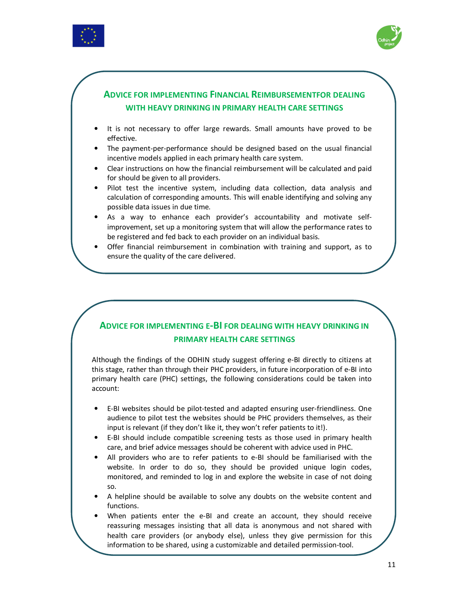



## **ADVICE FOR IMPLEMENTING FINANCIAL REIMBURSEMENTFOR DEALING WITH HEAVY DRINKING IN PRIMARY HEALTH CARE SETTINGS**

- It is not necessary to offer large rewards. Small amounts have proved to be effective.
- The payment-per-performance should be designed based on the usual financial incentive models applied in each primary health care system.
- Clear instructions on how the financial reimbursement will be calculated and paid for should be given to all providers.
- Pilot test the incentive system, including data collection, data analysis and calculation of corresponding amounts. This will enable identifying and solving any possible data issues in due time.
- As a way to enhance each provider's accountability and motivate selfimprovement, set up a monitoring system that will allow the performance rates to be registered and fed back to each provider on an individual basis.
- Offer financial reimbursement in combination with training and support, as to ensure the quality of the care delivered.

## **ADVICE FOR IMPLEMENTING E-BI FOR DEALING WITH HEAVY DRINKING IN PRIMARY HEALTH CARE SETTINGS**

Although the findings of the ODHIN study suggest offering e-BI directly to citizens at this stage, rather than through their PHC providers, in future incorporation of e-BI into primary health care (PHC) settings, the following considerations could be taken into account:

- E-BI websites should be pilot-tested and adapted ensuring user-friendliness. One audience to pilot test the websites should be PHC providers themselves, as their input is relevant (if they don't like it, they won't refer patients to it!).
- E-BI should include compatible screening tests as those used in primary health care, and brief advice messages should be coherent with advice used in PHC.
- All providers who are to refer patients to e-BI should be familiarised with the website. In order to do so, they should be provided unique login codes, monitored, and reminded to log in and explore the website in case of not doing so.
- A helpline should be available to solve any doubts on the website content and functions.
- When patients enter the e-BI and create an account, they should receive reassuring messages insisting that all data is anonymous and not shared with health care providers (or anybody else), unless they give permission for this information to be shared, using a customizable and detailed permission-tool.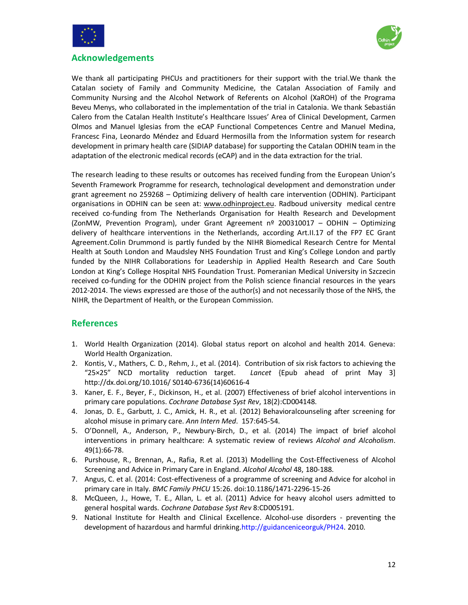



## **Acknowledgements**

We thank all participating PHCUs and practitioners for their support with the trial.We thank the Catalan society of Family and Community Medicine, the Catalan Association of Family and Community Nursing and the Alcohol Network of Referents on Alcohol (XaROH) of the Programa Beveu Menys, who collaborated in the implementation of the trial in Catalonia. We thank Sebastián Calero from the Catalan Health Institute's Healthcare Issues' Area of Clinical Development, Carmen Olmos and Manuel Iglesias from the eCAP Functional Competences Centre and Manuel Medina, Francesc Fina, Leonardo Méndez and Eduard Hermosilla from the Information system for research development in primary health care (SIDIAP database) for supporting the Catalan ODHIN team in the adaptation of the electronic medical records (eCAP) and in the data extraction for the trial.

The research leading to these results or outcomes has received funding from the European Union's Seventh Framework Programme for research, technological development and demonstration under grant agreement no 259268 – Optimizing delivery of health care intervention (ODHIN). Participant organisations in ODHIN can be seen at: www.odhinproject.eu. Radboud university medical centre received co-funding from The Netherlands Organisation for Health Research and Development (ZonMW, Prevention Program), under Grant Agreement nº 200310017 – ODHIN – Optimizing delivery of healthcare interventions in the Netherlands, according Art.II.17 of the FP7 EC Grant Agreement.Colin Drummond is partly funded by the NIHR Biomedical Research Centre for Mental Health at South London and Maudsley NHS Foundation Trust and King's College London and partly funded by the NIHR Collaborations for Leadership in Applied Health Research and Care South London at King's College Hospital NHS Foundation Trust. Pomeranian Medical University in Szczecin received co-funding for the ODHIN project from the Polish science financial resources in the years 2012-2014. The views expressed are those of the author(s) and not necessarily those of the NHS, the NIHR, the Department of Health, or the European Commission.

### **References**

- 1. World Health Organization (2014). Global status report on alcohol and health 2014. Geneva: World Health Organization.
- 2. Kontis, V., Mathers, C. D., Rehm, J., et al. (2014). Contribution of six risk factors to achieving the "25×25" NCD mortality reduction target. *Lancet* {Epub ahead of print May 3] http://dx.doi.org/10.1016/ S0140-6736(14)60616-4
- 3. Kaner, E. F., Beyer, F., Dickinson, H., et al. (2007) Effectiveness of brief alcohol interventions in primary care populations. *Cochrane Database Syst Rev*, 18(2):CD004148.
- 4. Jonas, D. E., Garbutt, J. C., Amick, H. R., et al. (2012) Behavioralcounseling after screening for alcohol misuse in primary care. *Ann Intern Med*. 157:645-54.
- 5. O'Donnell, A., Anderson, P., Newbury-Birch, D., et al. (2014) The impact of brief alcohol interventions in primary healthcare: A systematic review of reviews *Alcohol and Alcoholism*. 49(1):66-78.
- 6. Purshouse, R., Brennan, A., Rafia, R.et al. (2013) Modelling the Cost-Effectiveness of Alcohol Screening and Advice in Primary Care in England. *Alcohol Alcohol* 48, 180-188.
- 7. Angus, C. et al. (2014: Cost-effectiveness of a programme of screening and Advice for alcohol in primary care in Italy. *BMC Family PHCU* 15:26. doi:10.1186/1471-2296-15-26
- 8. McQueen, J., Howe, T. E., Allan, L. et al. (2011) Advice for heavy alcohol users admitted to general hospital wards. *Cochrane Database Syst Rev* 8:CD005191.
- 9. National Institute for Health and Clinical Excellence. Alcohol-use disorders preventing the development of hazardous and harmful drinking.http://guidanceniceorguk/PH24. 2010.